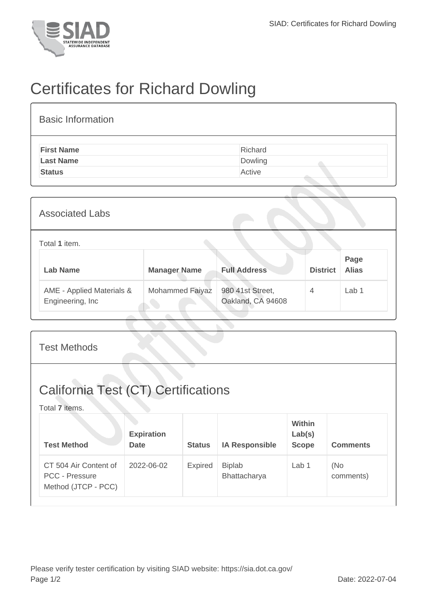

## Certificates for Richard Dowling

| <b>Basic Information</b> |         |
|--------------------------|---------|
| <b>First Name</b>        | Richard |
| <b>Last Name</b>         | Dowling |
| <b>Status</b>            | Active  |
|                          |         |

| <b>Associated Labs</b>                         |                     |                                       |                 |                      |  |
|------------------------------------------------|---------------------|---------------------------------------|-----------------|----------------------|--|
| Total 1 item.                                  |                     |                                       |                 |                      |  |
| <b>Lab Name</b>                                | <b>Manager Name</b> | <b>Full Address</b>                   | <b>District</b> | Page<br><b>Alias</b> |  |
| AME - Applied Materials &<br>Engineering, Inc. | Mohammed Faiyaz     | 980 41st Street,<br>Oakland, CA 94608 | $\overline{4}$  | Lab <sub>1</sub>     |  |

| <b>Test Methods</b>                                                   |                                  |                |                               |                                         |                  |  |
|-----------------------------------------------------------------------|----------------------------------|----------------|-------------------------------|-----------------------------------------|------------------|--|
| <b>California Test (CT) Certifications</b><br>Total 7 items.          |                                  |                |                               |                                         |                  |  |
| <b>Test Method</b>                                                    | <b>Expiration</b><br><b>Date</b> | <b>Status</b>  | <b>IA Responsible</b>         | <b>Within</b><br>Lab(s)<br><b>Scope</b> | <b>Comments</b>  |  |
| CT 504 Air Content of<br><b>PCC - Pressure</b><br>Method (JTCP - PCC) | 2022-06-02                       | <b>Expired</b> | <b>Biplab</b><br>Bhattacharya | Lab 1                                   | (No<br>comments) |  |